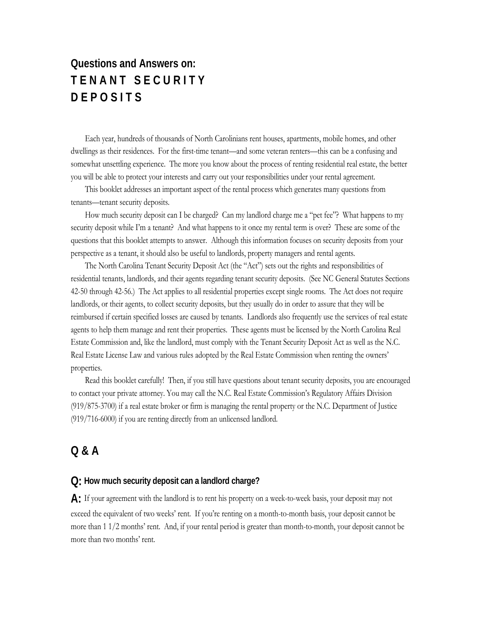# **Questions and Answers on: T E N A N T S E C U R I T Y D E P O S I T S**

Each year, hundreds of thousands of North Carolinians rent houses, apartments, mobile homes, and other dwellings as their residences. For the first-time tenant—and some veteran renters—this can be a confusing and somewhat unsettling experience. The more you know about the process of renting residential real estate, the better you will be able to protect your interests and carry out your responsibilities under your rental agreement.

This booklet addresses an important aspect of the rental process which generates many questions from tenants—tenant security deposits.

How much security deposit can I be charged? Can my landlord charge me a "pet fee"? What happens to my security deposit while I'm a tenant? And what happens to it once my rental term is over? These are some of the questions that this booklet attempts to answer. Although this information focuses on security deposits from your perspective as a tenant, it should also be useful to landlords, property managers and rental agents.

The North Carolina Tenant Security Deposit Act (the "Act") sets out the rights and responsibilities of residential tenants, landlords, and their agents regarding tenant security deposits. (See NC General Statutes Sections 42-50 through 42-56.) The Act applies to all residential properties except single rooms. The Act does not require landlords, or their agents, to collect security deposits, but they usually do in order to assure that they will be reimbursed if certain specified losses are caused by tenants. Landlords also frequently use the services of real estate agents to help them manage and rent their properties. These agents must be licensed by the North Carolina Real Estate Commission and, like the landlord, must comply with the Tenant Security Deposit Act as well as the N.C. Real Estate License Law and various rules adopted by the Real Estate Commission when renting the owners' properties.

Read this booklet carefully! Then, if you still have questions about tenant security deposits, you are encouraged to contact your private attorney. You may call the N.C. Real Estate Commission's Regulatory Affairs Division (919/875-3700) if a real estate broker or firm is managing the rental property or the N.C. Department of Justice (919/716-6000) if you are renting directly from an unlicensed landlord.

# **Q & A**

#### **Q: How much security deposit can a landlord charge?**

**A:** If your agreement with the landlord is to rent his property on a week-to-week basis, your deposit may not exceed the equivalent of two weeks' rent. If you're renting on a month-to-month basis, your deposit cannot be more than 1 1/2 months' rent. And, if your rental period is greater than month-to-month, your deposit cannot be more than two months' rent.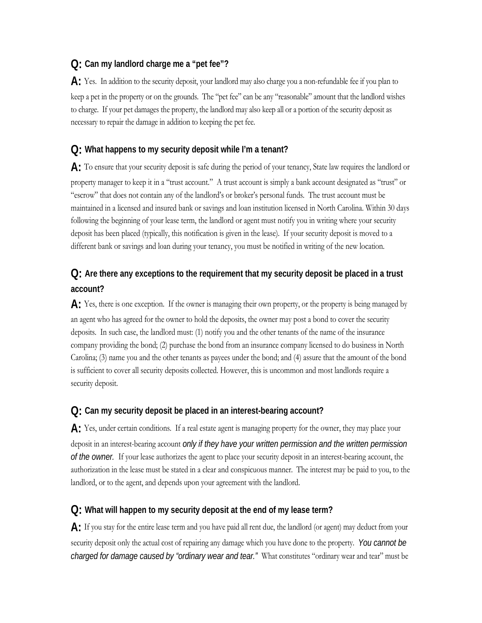### **Q: Can my landlord charge me a "pet fee"?**

**A:** Yes. In addition to the security deposit, your landlord may also charge you a non-refundable fee if you plan to keep a pet in the property or on the grounds. The "pet fee" can be any "reasonable" amount that the landlord wishes to charge. If your pet damages the property, the landlord may also keep all or a portion of the security deposit as necessary to repair the damage in addition to keeping the pet fee.

### **Q: What happens to my security deposit while I'm a tenant?**

**A:** To ensure that your security deposit is safe during the period of your tenancy, State law requires the landlord or property manager to keep it in a "trust account." A trust account is simply a bank account designated as "trust" or "escrow" that does not contain any of the landlord's or broker's personal funds. The trust account must be maintained in a licensed and insured bank or savings and loan institution licensed in North Carolina. Within 30 days following the beginning of your lease term, the landlord or agent must notify you in writing where your security deposit has been placed (typically, this notification is given in the lease). If your security deposit is moved to a different bank or savings and loan during your tenancy, you must be notified in writing of the new location.

# **Q: Are there any exceptions to the requirement that my security deposit be placed in a trust account?**

**A:** Yes, there is one exception. If the owner is managing their own property, or the property is being managed by an agent who has agreed for the owner to hold the deposits, the owner may post a bond to cover the security deposits. In such case, the landlord must: (1) notify you and the other tenants of the name of the insurance company providing the bond; (2) purchase the bond from an insurance company licensed to do business in North Carolina; (3) name you and the other tenants as payees under the bond; and (4) assure that the amount of the bond is sufficient to cover all security deposits collected. However, this is uncommon and most landlords require a security deposit.

#### **Q: Can my security deposit be placed in an interest-bearing account?**

A: Yes, under certain conditions. If a real estate agent is managing property for the owner, they may place your deposit in an interest-bearing account *only if they have your written permission and the written permission of the owner.* If your lease authorizes the agent to place your security deposit in an interest-bearing account, the authorization in the lease must be stated in a clear and conspicuous manner. The interest may be paid to you, to the landlord, or to the agent, and depends upon your agreement with the landlord.

#### **Q: What will happen to my security deposit at the end of my lease term?**

**A:** If you stay for the entire lease term and you have paid all rent due, the landlord (or agent) may deduct from your security deposit only the actual cost of repairing any damage which you have done to the property. *You cannot be charged for damage caused by "ordinary wear and tear."* What constitutes "ordinary wear and tear" must be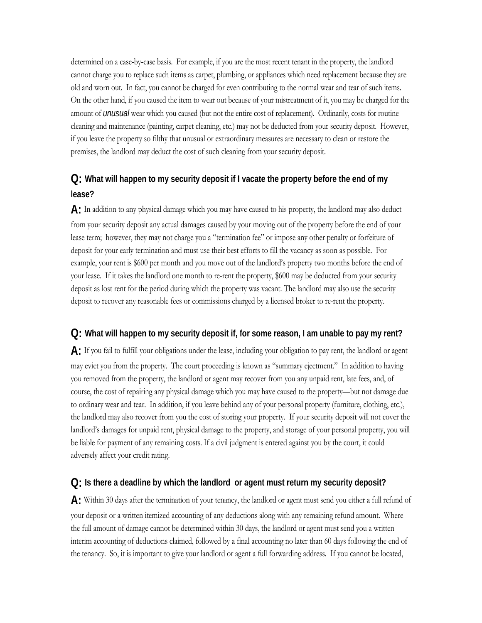determined on a case-by-case basis. For example, if you are the most recent tenant in the property, the landlord cannot charge you to replace such items as carpet, plumbing, or appliances which need replacement because they are old and worn out. In fact, you cannot be charged for even contributing to the normal wear and tear of such items. On the other hand, if you caused the item to wear out because of your mistreatment of it, you may be charged for the amount of *unusual* wear which you caused (but not the entire cost of replacement). Ordinarily, costs for routine cleaning and maintenance (painting, carpet cleaning, etc.) may not be deducted from your security deposit. However, if you leave the property so filthy that unusual or extraordinary measures are necessary to clean or restore the premises, the landlord may deduct the cost of such cleaning from your security deposit.

# **Q: What will happen to my security deposit if I vacate the property before the end of my lease?**

**A:** In addition to any physical damage which you may have caused to his property, the landlord may also deduct from your security deposit any actual damages caused by your moving out of the property before the end of your lease term; however, they may not charge you a "termination fee" or impose any other penalty or forfeiture of deposit for your early termination and must use their best efforts to fill the vacancy as soon as possible. For example, your rent is \$600 per month and you move out of the landlord's property two months before the end of your lease. If it takes the landlord one month to re-rent the property, \$600 may be deducted from your security deposit as lost rent for the period during which the property was vacant. The landlord may also use the security deposit to recover any reasonable fees or commissions charged by a licensed broker to re-rent the property.

### **Q: What will happen to my security deposit if, for some reason, I am unable to pay my rent?**

**A:** If you fail to fulfill your obligations under the lease, including your obligation to pay rent, the landlord or agent may evict you from the property. The court proceeding is known as "summary ejectment." In addition to having you removed from the property, the landlord or agent may recover from you any unpaid rent, late fees, and, of course, the cost of repairing any physical damage which you may have caused to the property—but not damage due to ordinary wear and tear. In addition, if you leave behind any of your personal property (furniture, clothing, etc.), the landlord may also recover from you the cost of storing your property. If your security deposit will not cover the landlord's damages for unpaid rent, physical damage to the property, and storage of your personal property, you will be liable for payment of any remaining costs. If a civil judgment is entered against you by the court, it could adversely affect your credit rating.

#### **Q: Is there a deadline by which the landlord or agent must return my security deposit?**

**A:** Within 30 days after the termination of your tenancy, the landlord or agent must send you either a full refund of your deposit or a written itemized accounting of any deductions along with any remaining refund amount. Where the full amount of damage cannot be determined within 30 days, the landlord or agent must send you a written interim accounting of deductions claimed, followed by a final accounting no later than 60 days following the end of the tenancy. So, it is important to give your landlord or agent a full forwarding address. If you cannot be located,